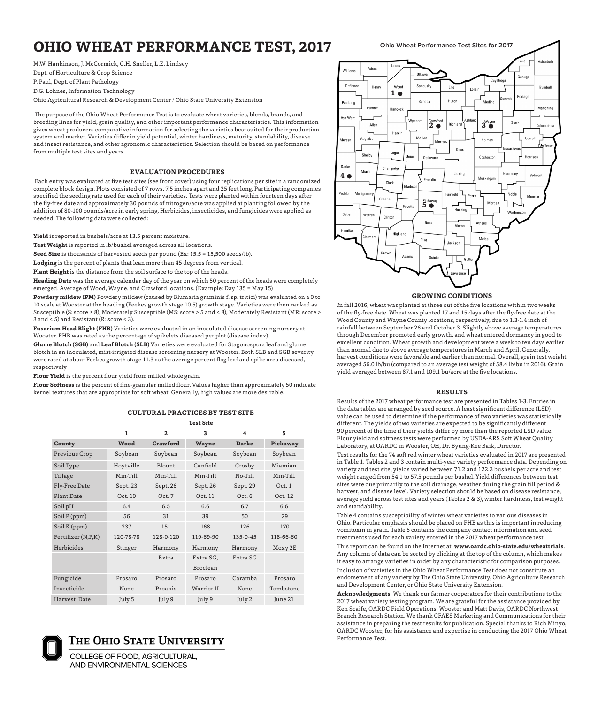# **OHIO WHEAT PERFORMANCE TEST, 2017** Ohio Wheat Performance Test Sites for 2017

M.W. Hankinson, J. McCormick, C.H. Sneller, L.E. Lindsey Dept. of Horticulture & Crop Science P. Paul, Dept. of Plant Pathology D.G. Lohnes, Information Technology Ohio Agricultural Research & Development Center / Ohio State University Extension

 The purpose of the Ohio Wheat Performance Test is to evaluate wheat varieties, blends, brands, and breeding lines for yield, grain quality, and other important performance characteristics. This information gives wheat producers comparative information for selecting the varieties best suited for their production system and market. Varieties differ in yield potential, winter hardiness, maturity, standability, disease and insect resistance, and other agronomic characteristics. Selection should be based on performance from multiple test sites and years.

#### **EVALUATION PROCEDURES**

 Each entry was evaluated at five test sites (see front cover) using four replications per site in a randomized complete block design. Plots consisted of 7 rows, 7.5 inches apart and 25 feet long. Participating companies specified the seeding rate used for each of their varieties. Tests were planted within fourteen days after the fly-free date and approximately 30 pounds of nitrogen/acre was applied at planting followed by the addition of 80-100 pounds/acre in early spring. Herbicides, insecticides, and fungicides were applied as needed. The following data were collected:

**Yield** is reported in bushels/acre at 13.5 percent moisture.

**Test Weight** is reported in lb/bushel averaged across all locations.

**Seed Size** is thousands of harvested seeds per pound (Ex: 15.5 = 15,500 seeds/lb).

**Lodging** is the percent of plants that lean more than 45 degrees from vertical.

**Plant Height** is the distance from the soil surface to the top of the heads.

**Heading Date** was the average calendar day of the year on which 50 percent of the heads were completely emerged. Average of Wood, Wayne, and Crawford locations. (Example: Day 135 = May 15)

**Powdery mildew (PM)** Powdery mildew (caused by Blumaria graminis f. sp. tritici) was evaluated on a 0 to 10 scale at Wooster at the heading (Feekes growth stage 10.5) growth stage. Varieties were then ranked as Susceptible (S: score ≥ 8), Moderately Susceptible (MS: score > 5 and < 8), Moderately Resistant (MR: score > 3 and < 5) and Resistant (R: score < 3).

**Fusarium Head Blight (FHB)** Varieties were evaluated in an inoculated disease screening nursery at Wooster. FHB was rated as the percentage of spikelets diseased per plot (disease index).

**Glume Blotch (SGB)** and **Leaf Blotch (SLB)** Varieties were evaluated for Stagonospora leaf and glume blotch in an inoculated, mist-irrigated disease screening nursery at Wooster. Both SLB and SGB severity were rated at about Feekes growth stage 11.3 as the average percent flag leaf and spike area diseased, respectively

**Flour Yield** is the percent flour yield from milled whole grain.

**Flour Softness** is the percent of fine-granular milled flour. Values higher than approximately 50 indicate kernel textures that are appropriate for soft wheat. Generally, high values are more desirable.

#### **CULTURAL PRACTICES BY TEST SITE Test Site**

|                    | 1         | $\mathbf{2}$ | 3          | 4              | 5         |
|--------------------|-----------|--------------|------------|----------------|-----------|
| County             | Wood      | Crawford     | Wayne      | <b>Darke</b>   | Pickaway  |
| Previous Crop      | Soybean   | Soybean      | Soybean    | Soybean        | Soybean   |
| Soil Type          | Hoytville | Blount       | Canfield   | Crosby         | Miamian   |
| Tillage            | Min-Till  | Min-Till     | Min-Till   | No-Till        | Min-Till  |
| Fly-Free Date      | Sept. 23  | Sept. 26     | Sept. 26   | Sept. 29       | Oct. 1    |
| Plant Date         | Oct. 10   | Oct. 7       | Oct. 11    | Oct. 6         | Oct. 12   |
| Soil pH            | 6.4       | 6.5          | 6.6        | 6.7            | 6.6       |
| Soil P(ppm)        | 56        | 31           | 39         | 50             | 29        |
| Soil K (ppm)       | 237       | 151          | 168        | 126            | 170       |
| Fertilizer (N,P,K) | 120-78-78 | 128-0-120    | 119-69-90  | $135 - 0 - 45$ | 118-66-60 |
| Herbicides         | Stinger   | Harmony      | Harmony    | Harmony        | Moxy 2E   |
|                    |           | Extra        | Extra SG,  | Extra SG       |           |
|                    |           |              | Broclean   |                |           |
| Fungicide          | Prosaro   | Prosaro      | Prosaro    | Caramba        | Prosaro   |
| Insecticide        | None      | Proaxis      | Warrior II | None           | Tombstone |
| Harvest Date       | July 5    | July 9       | July 9     | July 2         | June 21   |



COLLEGE OF FOOD, AGRICULTURAL, **AND ENVIRONMENTAL SCIENCES** 



#### **GROWING CONDITIONS**

*I*n fall 2016, wheat was planted at three out of the five locations within two weeks of the fly-free date. Wheat was planted 17 and 15 days after the fly-free date at the Wood County and Wayne County locations, respectively, due to 1.3-1.4 inch of rainfall between September 26 and October 3. Slightly above average temperatures through December promoted early growth, and wheat entered dormancy in good to excellent condition. Wheat growth and development were a week to ten days earlier than normal due to above average temperatures in March and April. Generally, harvest conditions were favorable and earlier than normal. Overall, grain test weight averaged 56.0 lb/bu (compared to an average test weight of 58.4 lb/bu in 2016). Grain yield averaged between 87.1 and 109.1 bu/acre at the five locations.

#### **RESULTS**

Results of the 2017 wheat performance test are presented in Tables 1-3. Entries in the data tables are arranged by seed source. A least significant difference (LSD) value can be used to determine if the performance of two varieties was statistically different. The yields of two varieties are expected to be significantly different 90 percent of the time if their yields differ by more than the reported LSD value. Flour yield and softness tests were performed by USDA-ARS Soft Wheat Quality Laboratory, at OARDC in Wooster, OH, Dr. Byung-Kee Baik, Director.

Test results for the 74 soft red winter wheat varieties evaluated in 2017 are presented in Table 1. Tables 2 and 3 contain multi-year variety performance data. Depending on variety and test site, yields varied between 71.2 and 122.3 bushels per acre and test weight ranged from 54.1 to 57.5 pounds per bushel. Yield differences between test sites were due primarily to the soil drainage, weather during the grain fill period  $\&$ harvest, and disease level. Variety selection should be based on disease resistance, average yield across test sites and years (Tables 2 & 3), winter hardiness, test weight and standability.

Table 4 contains susceptibility of winter wheat varieties to various diseases in Ohio. Particular emphasis should be placed on FHB as this is important in reducing vomitoxin in grain. Table 5 contains the company contact information and seed treatments used for each variety entered in the 2017 wheat performance test.

This report can be found on the Internet at: **www.oardc.ohio-state.edu/wheattrials**. Any column of data can be sorted by clicking at the top of the column, which makes it easy to arrange varieties in order by any characteristic for comparison purposes. Inclusion of varieties in the Ohio Wheat Performance Test does not constitute an endorsement of any variety by The Ohio State University, Ohio Agriculture Research and Development Center, or Ohio State University Extension.

**Acknowledgments**: We thank our farmer cooperators for their contributions to the 2017 wheat variety testing program. We are grateful for the assistance provided by Ken Scaife, OARDC Field Operations, Wooster and Matt Davis, OARDC Northwest Branch Research Station. We thank CFAES Marketing and Communications for their assistance in preparing the test results for publication. Special thanks to Rich Minyo, OARDC Wooster, for his assistance and expertise in conducting the 2017 Ohio Wheat Performance Test.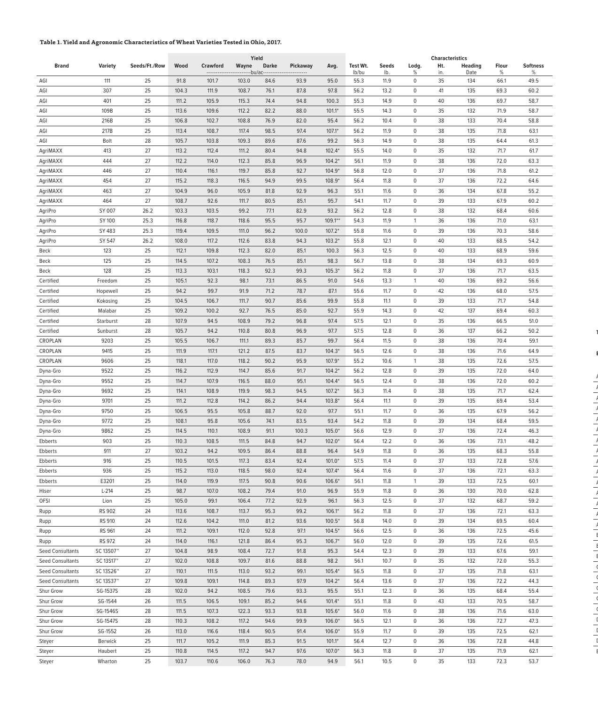## **Table 1. Yield and Agronomic Characteristics of Wheat Varieties Tested in Ohio, 2017.**

|                         |                |               |       |                 | Yield |                              |                 |            |          |       |              | <b>Characteristics</b> |                |       |                 |
|-------------------------|----------------|---------------|-------|-----------------|-------|------------------------------|-----------------|------------|----------|-------|--------------|------------------------|----------------|-------|-----------------|
| <b>Brand</b>            | <b>Variety</b> | Seeds/Ft./Row | Wood  | <b>Crawford</b> | Wayne | <b>Darke</b>                 | <b>Pickaway</b> | Avg.       | Test Wt. | Seeds | Lodg.        | Ht.                    | <b>Heading</b> | Flour | <b>Softness</b> |
|                         |                |               |       |                 |       | --bu/ac--------------------- |                 |            | lb/bu    | lb.   | %            | in.                    | Date           | %     | %               |
| AGI                     | 111            | 25            | 91.8  | 101.7           | 103.0 | 84.6                         | 93.9            | 95.0       | 55.3     | 11.9  | 0            | 35                     | 134            | 66.1  | 49.5            |
| AGI                     | 307            | 25            | 104.3 | 111.9           | 108.7 | 76.1                         | 87.8            | 97.8       | 56.2     | 13.2  | $\mathbf 0$  | 41                     | 135            | 69.3  | 60.2            |
| AGI                     | 401            | 25            | 111.2 | 105.9           | 115.3 | 74.4                         | 94.8            | 100.3      | 55.3     | 14.9  | $\mathbf 0$  | 40                     | 136            | 69.7  | 58.7            |
| AGI                     | 109B           | 25            | 113.6 | 109.6           | 112.2 | 82.2                         | 88.0            | $101.1*$   | 55.5     | 14.3  | $\mathbf 0$  | 35                     | 132            | 71.9  | 58.7            |
| AGI                     | 216B           | 25            | 106.8 | 102.7           | 108.8 | 76.9                         | 82.0            | 95.4       | 56.2     | 10.4  | $\mathbf 0$  | 38                     | 133            | 70.4  | 58.8            |
| AGI                     | 217B           | 25            | 113.4 | 108.7           | 117.4 | 98.5                         | 97.4            | $107.1*$   | 56.2     | 11.9  | 0            | 38                     | 135            | 71.8  | 63.1            |
| AGI                     | Bolt           | 28            | 105.7 | 103.8           | 109.3 | 89.6                         | 87.6            | 99.2       | 56.3     | 14.9  | $\mathbf 0$  | 38                     | 135            | 64.4  | 61.3            |
| AgriMAXX                | 413            | 27            | 113.2 | 112.4           | 111.2 | 80.4                         | 94.8            | $102.4*$   | 55.5     | 14.0  | 0            | 35                     | 132            | 71.7  | 61.7            |
| AgriMAXX                | 444            | 27            | 112.2 | 114.0           | 112.3 | 85.8                         | 96.9            | $104.2*$   | 56.1     | 11.9  | 0            | 38                     | 136            | 72.0  | 63.3            |
| AgriMAXX                | 446            | 27            | 110.4 | 116.1           | 119.7 | 85.8                         | 92.7            | $104.9*$   | 56.8     | 12.0  | 0            | 37                     | 136            | 71.8  | 61.2            |
| AgriMAXX                | 454            | 27            | 115.2 | 118.3           | 116.5 | 94.9                         | 99.5            | $108.9*$   | 56.4     | 11.8  | $\mathbf 0$  | 37                     | 136            | 72.2  | 64.6            |
| AgriMAXX                | 463            | 27            | 104.9 | 96.0            | 105.9 | 81.8                         | 92.9            | 96.3       | 55.1     | 11.6  | 0            | 36                     | 134            | 67.8  | 55.2            |
| AgriMAXX                | 464            | 27            | 108.7 | 92.6            | 111.7 | 80.5                         | 85.1            | 95.7       | 54.1     | 11.7  | 0            | 39                     | 133            | 67.9  | 60.2            |
| AgriPro                 | SY 007         | 26.2          | 103.3 | 103.5           | 99.2  | 77.1                         | 82.9            | 93.2       | 56.2     | 12.8  | $\mathbf 0$  | 38                     | 132            | 68.4  | 60.6            |
| AgriPro                 | SY 100         | 25.3          | 116.8 | 118.7           | 118.6 | 95.5                         | 95.7            | $109.1***$ | 54.3     | 11.9  | 1            | 36                     | 136            | 71.0  | 63.1            |
| AgriPro                 | SY 483         | 25.3          | 119.4 | 109.5           | 111.0 | 96.2                         | 100.0           | $107.2*$   | 55.8     | 11.6  | 0            | 39                     | 136            | 70.3  | 58.6            |
| AgriPro                 | SY 547         | 26.2          | 108.0 | 117.2           | 112.6 | 83.8                         | 94.3            | $103.2*$   | 55.8     | 12.1  | 0            | 40                     | 133            | 68.5  | 54.2            |
| Beck                    | 123            | 25            | 112.1 | 109.8           | 112.3 | 82.0                         | 85.1            | 100.3      | 56.3     | 12.5  | $\mathbf 0$  | 40                     | 133            | 68.9  | 59.6            |
| Beck                    | 125            | 25            | 114.5 | 107.2           | 108.3 | 76.5                         | 85.1            | 98.3       | 56.7     | 13.8  | $\mathbf 0$  | 38                     | 134            | 69.3  | 60.9            |
| Beck                    | 128            | 25            | 113.3 | 103.1           | 118.3 | 92.3                         | 99.3            | $105.3*$   | 56.2     | 11.8  | 0            | 37                     | 136            | 71.7  | 63.5            |
| Certified               | Freedom        | 25            | 105.1 | 92.3            | 98.1  | 73.1                         | 86.5            | 91.0       | 54.6     | 13.3  | 1            | 40                     | 136            | 69.2  | 56.6            |
| Certified               | Hopewell       | 25            | 94.2  | 99.7            | 91.9  | 71.2                         | 78.7            | 87.1       | 55.6     | 11.7  | $\mathbf 0$  | 42                     | 136            | 68.0  | 57.5            |
| Certified               | Kokosing       | 25            | 104.5 | 106.7           | 111.7 | 90.7                         | 85.6            | 99.9       | 55.8     | 11.1  | 0            | 39                     | 133            | 71.7  | 54.8            |
| Certified               | Malabar        | 25            | 109.2 | 100.2           | 92.7  | 76.5                         | 85.0            | 92.7       | 55.9     | 14.3  | 0            | 42                     | 137            | 69.4  | 60.3            |
| Certified               | Starburst      | 28            | 107.9 | 94.5            | 108.9 | 79.2                         | 96.8            | 97.4       | 57.5     | 12.1  | $\mathbf 0$  | 35                     | 136            | 66.5  | 51.0            |
| Certified               | Sunburst       | 28            | 105.7 | 94.2            | 110.8 | 80.8                         | 96.9            | 97.7       | 57.5     | 12.8  | $\mathbf 0$  | 36                     | 137            | 66.2  | 50.2            |
| CROPLAN                 | 9203           | 25            | 105.5 | 106.7           | 111.1 | 89.3                         | 85.7            | 99.7       | 56.4     | 11.5  | $\mathbf 0$  | 38                     | 136            | 70.4  | 59.1            |
| CROPLAN                 | 9415           | 25            | 111.9 | 117.1           | 121.2 | 87.5                         | 83.7            | $104.3*$   | 56.5     | 12.6  | 0            | 38                     | 136            | 71.6  | 64.9            |
| CROPLAN                 | 9606           | 25            | 118.1 | 117.0           | 118.2 | 90.2                         | 95.9            | $107.9*$   | 55.2     | 10.6  | 1            | 38                     | 135            | 72.6  | 57.5            |
| Dyna-Gro                | 9522           | 25            | 116.2 | 112.9           | 114.7 | 85.6                         | 91.7            | $104.2*$   | 56.2     | 12.8  | $\mathbf 0$  | 39                     | 135            | 72.0  | 64.0            |
| Dyna-Gro                | 9552           | 25            | 114.7 | 107.9           | 116.5 | 88.0                         | 95.1            | $104.4*$   | 56.5     | 12.4  | $\mathbf 0$  | 38                     | 136            | 72.0  | 60.2            |
| Dyna-Gro                | 9692           | 25            | 114.1 | 108.9           | 119.9 | 98.3                         | 94.5            | $107.2*$   | 56.3     | 11.4  | 0            | 38                     | 135            | 71.7  | 62.4            |
| Dyna-Gro                | 9701           | 25            | 111.2 | 112.8           | 114.2 | 86.2                         | 94.4            | $103.8*$   | 56.4     | 11.1  | $\mathbf 0$  | 39                     | 135            | 69.4  | 53.4            |
| Dyna-Gro                | 9750           | 25            | 106.5 | 95.5            | 105.8 | 88.7                         | 92.0            | 97.7       | 55.1     | 11.7  | $\mathbf 0$  | 36                     | 135            | 67.9  | 56.2            |
| Dyna-Gro                | 9772           | 25            | 108.1 | 95.8            | 105.6 | 74.1                         | 83.5            | 93.4       | 54.2     | 11.8  | $\mathbf 0$  | 39                     | 134            | 68.4  | 59.5            |
| Dyna-Gro                | 9862           | 25            | 114.5 | 110.1           | 108.9 | 91.1                         | 100.3           | $105.0*$   | 56.6     | 12.9  | 0            | 37                     | 136            | 72.4  | 46.3            |
| <b>Ebberts</b>          | 903            | 25            | 110.3 | 108.5           | 111.5 | 84.8                         | 94.7            | $102.0*$   | 56.4     | 12.2  | $\mathbf 0$  | 36                     | 136            | 73.1  | 48.2            |
| Ebberts                 | 911            | 27            | 103.2 | 94.2            | 109.5 | 86.4                         | 88.8            | 96.4       | 54.9     | 11.8  | $\mathbf 0$  | 36                     | 135            | 68.3  | 55.8            |
| <b>Ebberts</b>          | 916            | 25            | 110.5 | 101.5           | 117.3 | 83.4                         | 92.4            | $101.0*$   | 57.5     | 11.4  | $\mathbf 0$  | 37                     | 133            | 72.8  | 57.6            |
| Ebberts                 | 936            | 25            | 115.2 | 113.0           | 118.5 | 98.0                         | 92.4            | $107.4*$   | 56.4     | 11.6  | 0            | 37                     | 136            | 72.1  | 63.3            |
| Ebberts                 | E3201          | 25            | 114.0 | 119.9           | 117.5 | 90.8                         | 90.6            | $106.6*$   | 56.1     | 11.8  | $\mathbf{1}$ | 39                     | 133            | 72.5  | 60.1            |
| Hiser                   | $L-214$        | 25            | 98.7  | 107.0           | 108.2 | 79.4                         | 91.0            | 96.9       | 55.9     | 11.8  | $\mathbf 0$  | 36                     | 130            | 70.0  | 62.8            |
| OFSI                    | Lion           | 25            | 105.0 | 99.1            | 106.4 | 77.2                         | 92.9            | 96.1       | 56.3     | 12.5  | 0            | 37                     | 132            | 68.7  | 59.2            |
| Rupp                    | <b>RS 902</b>  | 24            | 113.6 | 108.7           | 113.7 | 95.3                         | 99.2            | $106.1*$   | 56.2     | 11.8  | 0            | 37                     | 136            | 72.1  | 63.3            |
| Rupp                    | RS 910         | 24            | 112.6 | 104.2           | 111.0 | 81.2                         | 93.6            | $100.5*$   | 56.8     | 14.0  | $\mathbf 0$  | 39                     | 134            | 69.5  | 60.4            |
| Rupp                    | RS 961         | 24            | 111.2 | 109.1           | 112.0 | 92.8                         | 97.1            | $104.5*$   | 56.6     | 12.5  | $\mathbf 0$  | 36                     | 136            | 72.5  | 45.6            |
| Rupp                    | RS 972         | 24            | 114.0 | 116.1           | 121.8 | 86.4                         | 95.3            | $106.7*$   | 56.0     | 12.0  | $\mathbf 0$  | 39                     | 135            | 72.6  | 61.5            |
| <b>Seed Consultants</b> | SC 13S07™      | 27            | 104.8 | 98.9            | 108.4 | 72.7                         | 91.8            | 95.3       | 54.4     | 12.3  | $\mathbf 0$  | 39                     | 133            | 67.6  | 59.1            |
| <b>Seed Consultants</b> | SC 13S17™      | 27            | 102.0 | 108.8           | 109.7 | 81.6                         | 88.8            | 98.2       | 56.1     | 10.7  | $\mathbf 0$  | 35                     | 132            | 72.0  | 55.3            |
| <b>Seed Consultants</b> | SC 13S26™      | 27            | 110.1 | 111.5           | 113.0 | 93.2                         | 99.1            | $105.4*$   | 56.5     | 11.8  | $\mathbf 0$  | 37                     | 135            | 71.8  | 63.1            |
| <b>Seed Consultants</b> | SC 13S37™      | 27            | 109.8 | 109.1           | 114.8 | 89.3                         | 97.9            | $104.2*$   | 56.4     | 13.6  | $\mathbf 0$  | 37                     | 136            | 72.2  | 44.3            |
| Shur Grow               | SG-1537S       | 28            | 102.0 | 94.2            | 108.5 | 79.6                         | 93.3            | 95.5       | 55.1     | 12.3  | $\mathbf 0$  | 36                     | 135            | 68.4  | 55.4            |
|                         |                |               |       |                 |       |                              |                 |            |          |       |              |                        |                |       |                 |
| Shur Grow               | SG-1544        | 26            | 111.5 | 106.5           | 109.1 | 85.2                         | 94.6            | $101.4*$   | 55.1     | 11.8  | $\mathbf 0$  | 43                     | 133            | 70.5  | 58.7            |
| Shur Grow               | SG-1546S       | 28            | 111.5 | 107.3           | 122.3 | 93.3                         | 93.8            | $105.6*$   | 56.0     | 11.6  | $\mathbf 0$  | 38<br>36               | 136            | 71.6  | 63.0            |
| Shur Grow               | SG-1547S       | 28            | 110.3 | 108.2           | 117.2 | 94.6                         | 99.9            | $106.0*$   | 56.5     | 12.1  | $\mathbf 0$  |                        | 136            | 72.7  | 47.3            |
| Shur Grow               | SG-1552        | 26            | 113.0 | 116.6           | 118.4 | 90.5                         | 91.4            | $106.0*$   | 55.9     | 11.7  | $\mathbf 0$  | 39                     | 135            | 72.5  | 62.1            |
| Steyer                  | Berwick        | 25            | 111.7 | 105.2           | 111.9 | 85.3                         | 91.5            | $101.1*$   | 56.4     | 12.7  | $\mathbf 0$  | 36                     | 136            | 72.8  | 44.8            |
| Steyer                  | Haubert        | 25            | 110.8 | 114.5           | 117.2 | 94.7                         | 97.6            | $107.0*$   | 56.3     | 11.8  | $\mathbf 0$  | 37                     | 135            | 71.9  | 62.1            |
| Steyer                  | Wharton        | 25            | 103.7 | 110.6           | 106.0 | 76.3                         | 78.0            | 94.9       | 56.1     | 10.5  | $\mathbf 0$  | 35                     | 133            | 72.3  | 53.7            |

**Table 2. Yield and Agronomic Characteristics of Wheat Varieties Tested in Ohio, 2016 and 2017.**

E<br>B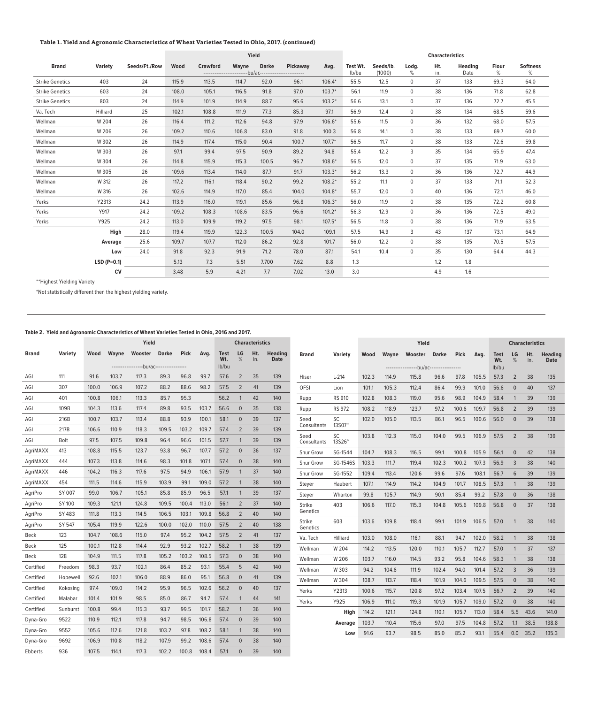## **Table 1. Yield and Agronomic Characteristics of Wheat Varieties Tested in Ohio, 2017. (continued)**

|                        |               |               | Yield |                 |                                                                 | <b>Characteristics</b> |          |          |                   |                     |                |            |                        |            |                      |
|------------------------|---------------|---------------|-------|-----------------|-----------------------------------------------------------------|------------------------|----------|----------|-------------------|---------------------|----------------|------------|------------------------|------------|----------------------|
| <b>Brand</b>           | Variety       | Seeds/Ft./Row | Wood  | <b>Crawford</b> | Wayne<br>-------------------------bu/ac------------------------ | <b>Darke</b>           | Pickaway | Avg.     | Test Wt.<br>lb/bu | Seeds/lb.<br>(1000) | Lodg.<br>%     | Ht.<br>in. | <b>Heading</b><br>Date | Flour<br>% | <b>Softness</b><br>% |
| <b>Strike Genetics</b> | 403           | 24            | 115.9 | 113.5           | 114.7                                                           | 92.0                   | 96.1     | $106.4*$ | 55.5              | 12.5                | $\mathbf 0$    | 37         | 133                    | 69.3       | 64.0                 |
| <b>Strike Genetics</b> | 603           | 24            | 108.0 | 105.1           | 116.5                                                           | 91.8                   | 97.0     | $103.7*$ | 56.1              | 11.9                | $\Omega$       | 38         | 136                    | 71.8       | 62.8                 |
| <b>Strike Genetics</b> | 803           | 24            | 114.9 | 101.9           | 114.9                                                           | 88.7                   | 95.6     | $103.2*$ | 56.6              | 13.1                | $\overline{0}$ | 37         | 136                    | 72.7       | 45.5                 |
| Va. Tech               | Hilliard      | 25            | 102.1 | 108.8           | 111.9                                                           | 77.3                   | 85.3     | 97.1     | 56.9              | 12.4                | $\mathbf 0$    | 38         | 134                    | 68.5       | 59.6                 |
| Wellman                | W 204         | 26            | 116.4 | 111.2           | 112.6                                                           | 94.8                   | 97.9     | $106.6*$ | 55.6              | 11.5                | $\Omega$       | 36         | 132                    | 68.0       | 57.5                 |
| Wellman                | W 206         | 26            | 109.2 | 110.6           | 106.8                                                           | 83.0                   | 91.8     | 100.3    | 56.8              | 14.1                | $\mathbf 0$    | 38         | 133                    | 69.7       | 60.0                 |
| Wellman                | W 302         | 26            | 114.9 | 117.4           | 115.0                                                           | 90.4                   | 100.7    | $107.7*$ | 56.5              | 11.7                | $\mathbf 0$    | 38         | 133                    | 72.6       | 59.8                 |
| Wellman                | W 303         | 26            | 97.1  | 99.4            | 97.5                                                            | 90.9                   | 89.2     | 94.8     | 55.4              | 12.2                | 3              | 35         | 134                    | 65.9       | 47.4                 |
| Wellman                | W 304         | 26            | 114.8 | 115.9           | 115.3                                                           | 100.5                  | 96.7     | $108.6*$ | 56.5              | 12.0                | $\mathbf 0$    | 37         | 135                    | 71.9       | 63.0                 |
| Wellman                | W 305         | 26            | 109.6 | 113.4           | 114.0                                                           | 87.7                   | 91.7     | $103.3*$ | 56.2              | 13.3                | $\overline{0}$ | 36         | 136                    | 72.7       | 44.9                 |
| Wellman                | W 312         | 26            | 117.2 | 116.1           | 118.4                                                           | 90.2                   | 99.2     | $108.2*$ | 55.2              | 11.1                | $\mathbf 0$    | 37         | 133                    | 71.1       | 52.3                 |
| Wellman                | W 316         | 26            | 102.6 | 114.9           | 117.0                                                           | 85.4                   | 104.0    | $104.8*$ | 55.7              | 12.0                | $\mathbf 0$    | 40         | 136                    | 72.1       | 46.0                 |
| Yerks                  | Y2313         | 24.2          | 113.9 | 116.0           | 119.1                                                           | 85.6                   | 96.8     | $106.3*$ | 56.0              | 11.9                | $\overline{0}$ | 38         | 135                    | 72.2       | 60.8                 |
| Yerks                  | Y917          | 24.2          | 109.2 | 108.3           | 108.6                                                           | 83.5                   | 96.6     | $101.2*$ | 56.3              | 12.9                | $\Omega$       | 36         | 136                    | 72.5       | 49.0                 |
| Yerks                  | Y925          | 24.2          | 113.0 | 109.9           | 119.2                                                           | 97.5                   | 98.1     | $107.5*$ | 56.5              | 11.8                | $\mathbf 0$    | 38         | 136                    | 71.9       | 63.5                 |
|                        | High          | 28.0          | 119.4 | 119.9           | 122.3                                                           | 100.5                  | 104.0    | 109.1    | 57.5              | 14.9                | 3              | 43         | 137                    | 73.1       | 64.9                 |
|                        | Average       | 25.6          | 109.7 | 107.7           | 112.0                                                           | 86.2                   | 92.8     | 101.7    | 56.0              | 12.2                | $\mathbf{0}$   | 38         | 135                    | 70.5       | 57.5                 |
|                        | Low           | 24.0          | 91.8  | 92.3            | 91.9                                                            | 71.2                   | 78.0     | 87.1     | 54.1              | 10.4                | $\mathbf 0$    | 35         | 130                    | 64.4       | 44.3                 |
|                        | $LSD (P=0.1)$ |               | 5.13  | 7.3             | 5.51                                                            | 7.700                  | 7.62     | 8.8      | 1.3               |                     |                | 1.2        | 1.8                    |            |                      |
|                        | <b>CV</b>     |               | 3.48  | 5.9             | 4.21                                                            | 7.7                    | 7.02     | 13.0     | 3.0               |                     |                | 4.9        | 1.6                    |            |                      |

\*\*Highest Yielding Variety

\*Not statistically different then the highest yielding variety.

## **Table 2. Yield and Agronomic Characteristics of Wheat Varieties Tested in Ohio, 2016 and 2017.**

|              |          |       |       | Yield                                                    |       |             |       |                      |                | <b>Characteristics</b> |                               |                     |                          |       |       | Yield                                              |              |             |       |                             |                | <b>Characteristics</b> |                               |
|--------------|----------|-------|-------|----------------------------------------------------------|-------|-------------|-------|----------------------|----------------|------------------------|-------------------------------|---------------------|--------------------------|-------|-------|----------------------------------------------------|--------------|-------------|-------|-----------------------------|----------------|------------------------|-------------------------------|
| <b>Brand</b> | Variety  | Wood  | Wayne | Wooster Darke<br>-----------------bu/ac----------------- |       | <b>Pick</b> | Avg.  | Test<br>Wt.<br>lb/bu | LG<br>%        | Ht.<br>in.             | <b>Heading</b><br><b>Date</b> | <b>Brand</b>        | Variety                  | Wood  | Wavne | Wooster<br>-----------------bu/ac----------------- | <b>Darke</b> | <b>Pick</b> | Avg.  | <b>Test</b><br>Wt.<br>lb/bu | <b>LG</b><br>% | Ht.<br>in.             | <b>Heading</b><br><b>Date</b> |
| AGI          | 111      | 91.6  | 103.7 | 117.3                                                    | 89.3  | 96.8        | 99.7  | 57.6                 | 2              | 35                     | 139                           | Hiser               | $L-214$                  | 102.3 | 114.9 | 115.8                                              | 96.6         | 97.8        | 105.5 | 57.3                        | $\overline{2}$ | 38                     | 135                           |
| AGI          | 307      | 100.0 | 106.9 | 107.2                                                    | 88.2  | 88.6        | 98.2  | 57.5                 | $\overline{2}$ | 41                     | 139                           | OFSI                | Lion                     | 101.1 | 105.3 | 112.4                                              | 86.4         | 99.9        | 101.0 | 56.6                        | $\mathbf{0}$   | 40                     | 137                           |
| AGI          | 401      | 100.8 | 106.1 | 113.3                                                    | 85.7  | 95.3        |       | 56.2                 | -1             | 42                     | 140                           | Rupp                | <b>RS 910</b>            | 102.8 | 108.3 | 119.0                                              | 95.6         | 98.9        | 104.9 | 58.4                        | 1              | 39                     | 139                           |
| AGI          | 109B     | 104.3 | 113.6 | 117.4                                                    | 89.8  | 93.5        | 103.7 | 56.6                 | $\overline{0}$ | 35                     | 138                           | Rupp                | <b>RS 972</b>            | 108.2 | 118.9 | 123.7                                              | 97.2         | 100.6       | 109.7 | 56.8                        | $\overline{2}$ | 39                     | 139                           |
| AGI          | 216B     | 100.7 | 103.7 | 113.4                                                    | 88.8  | 93.9        | 100.1 | 58.1                 | $\overline{0}$ | 39                     | 137                           | Seed                | SC                       | 102.0 | 105.0 | 113.5                                              | 86.1         | 96.5        | 100.6 | 56.0                        | $\overline{0}$ | 39                     | 138                           |
| AGI          | 217B     | 106.6 | 110.9 | 118.3                                                    | 109.5 | 103.2       | 109.7 | 57.4                 | $\overline{2}$ | 39                     | 139                           | Consultants         | 13S07 <sup>™</sup>       |       |       |                                                    |              |             |       |                             |                |                        |                               |
| AGI          | Bolt     | 97.5  | 107.5 | 109.8                                                    | 96.4  | 96.6        | 101.5 | 57.7                 | $\mathbf 1$    | 39                     | 139                           | Seed<br>Consultants | SC<br>13S26 <sup>™</sup> | 103.8 | 112.3 | 115.0                                              | 104.0        | 99.5        | 106.9 | 57.5                        | 2              | 38                     | 139                           |
| AgriMAXX     | 413      | 108.8 | 115.5 | 123.7                                                    | 93.8  | 96.7        | 107.7 | 57.2                 | $\overline{0}$ | 36                     | 137                           | <b>Shur Grow</b>    | SG-1544                  | 104.7 | 108.3 | 116.5                                              | 99.1         | 100.8       | 105.9 | 56.1                        | $\overline{0}$ | 42                     | 138                           |
| AgriMAXX     | 444      | 107.3 | 113.8 | 114.6                                                    | 98.3  | 101.8       | 107.1 | 57.4                 | $\overline{0}$ | 38                     | 140                           | <b>Shur Grow</b>    | SG-1546S                 | 103.3 | 111.7 | 119.4                                              | 102.3        | 100.2       | 107.3 | 56.9                        | 3              | 38                     | 140                           |
| AgriMAXX     | 446      | 104.2 | 116.3 | 117.6                                                    | 97.5  | 94.9        | 106.1 | 57.9                 | -1             | 37                     | 140                           | <b>Shur Grow</b>    | SG-1552                  | 109.4 | 113.4 | 120.6                                              | 99.6         | 97.6        | 108.1 | 56.7                        | 6              | 39                     | 139                           |
| AgriMAXX     | 454      | 111.5 | 114.6 | 115.9                                                    | 103.9 | 99.1        | 109.0 | 57.2                 | $\mathbf 1$    | 38                     | 140                           | Stever              | Haubert                  | 107.1 | 114.9 | 114.2                                              | 104.9        | 101.7       | 108.5 | 57.3                        | 1              | 38                     | 139                           |
| AgriPro      | SY 007   | 99.0  | 106.7 | 105.1                                                    | 85.8  | 85.9        | 96.5  | 57.1                 | -1             | 39                     | 137                           | Steyer              | Wharton                  | 99.8  | 105.7 | 114.9                                              | 90.1         | 85.4        | 99.2  | 57.8                        | $\mathbf{0}$   | 36                     | 138                           |
| AgriPro      | SY 100   | 109.3 | 121.1 | 124.8                                                    | 109.5 | 100.4       | 113.0 | 56.1                 | 2              | 37                     | 140                           | <b>Strike</b>       | 403                      | 106.6 | 117.0 | 115.3                                              | 104.8        | 105.6       | 109.8 | 56.8                        | $\overline{0}$ | 37                     | 138                           |
| AgriPro      | SY 483   | 111.8 | 113.3 | 114.5                                                    | 106.5 | 103.1       | 109.8 | 56.8                 | 2              | 40                     | 140                           | Genetics            |                          |       |       |                                                    |              |             |       |                             |                |                        |                               |
| AgriPro      | SY 547   | 105.4 | 119.9 | 122.6                                                    | 100.0 | 102.0       | 110.0 | 57.5                 | 2              | 40                     | 138                           | Strike<br>Genetics  | 603                      | 103.6 | 109.8 | 118.4                                              | 99.1         | 101.9       | 106.5 | 57.0                        | $\mathbf{1}$   | 38                     | 140                           |
| Beck         | 123      | 104.7 | 108.6 | 115.0                                                    | 97.4  | 95.2        | 104.2 | 57.5                 | $\overline{2}$ | 41                     | 137                           | Va. Tech            | Hilliard                 | 103.0 | 108.0 | 116.1                                              | 88.1         | 94.7        | 102.0 | 58.2                        | $\mathbf{1}$   | 38                     | 138                           |
| Beck         | 125      | 100.1 | 112.8 | 114.4                                                    | 92.9  | 93.2        | 102.7 | 58.2                 | 1              | 38                     | 139                           | Wellman             | W 204                    | 114.2 | 113.5 | 120.0                                              | 110.1        | 105.7       | 112.7 | 57.0                        | 1              | 37                     | 137                           |
| Beck         | 128      | 104.9 | 111.5 | 117.8                                                    | 105.2 | 103.2       | 108.5 | 57.3                 | $\mathbf 0$    | 38                     | 140                           | Wellman             | W 206                    | 103.7 | 116.0 | 114.5                                              | 93.2         | 95.8        | 104.6 | 58.3                        | 1              | 38                     | 138                           |
| Certified    | Freedom  | 98.3  | 93.7  | 102.1                                                    | 86.4  | 85.2        | 93.1  | 55.4                 | 5              | 42                     | 140                           | Wellman             | W 303                    | 94.2  | 104.6 | 111.9                                              | 102.4        | 94.0        | 101.4 | 57.2                        | 3              | 36                     | 139                           |
| Certified    | Hopewell | 92.6  | 102.1 | 106.0                                                    | 88.9  | 86.0        | 95.1  | 56.8                 | $\mathbf 0$    | 41                     | 139                           | Wellman             | W 304                    | 108.7 | 113.7 | 118.4                                              | 101.9        | 104.6       | 109.5 | 57.5                        | $\mathbf{0}$   | 38                     | 140                           |
| Certified    | Kokosing | 97.4  | 109.0 | 114.2                                                    | 95.9  | 96.5        | 102.6 | 56.2                 | $\mathbf{0}$   | 40                     | 137                           | Yerks               | Y2313                    | 100.6 | 115.7 | 120.8                                              | 97.2         | 103.4       | 107.5 | 56.7                        | 2              | 39                     | 140                           |
| Certified    | Malabar  | 101.4 | 101.9 | 98.5                                                     | 85.0  | 86.7        | 94.7  | 57.4                 |                | 44                     | 141                           | Yerks               | Y925                     | 106.9 | 111.0 | 119.3                                              | 101.9        | 105.7       | 109.0 | 57.2                        | $\overline{0}$ | 38                     | 140                           |
| Certified    | Sunburst | 100.8 | 99.4  | 115.3                                                    | 93.7  | 99.5        | 101.7 | 58.2                 | 1              | 36                     | 140                           |                     | High                     | 114.2 | 121.1 | 124.8                                              | 110.1        | 105.7       | 113.0 | 58.4                        | 5.5            | 43.6                   | 141.0                         |
| Dyna-Gro     | 9522     | 110.9 | 112.1 | 117.8                                                    | 94.7  | 98.5        | 106.8 | 57.4                 | $\mathbf{0}$   | 39                     | 140                           |                     | Average                  | 103.7 | 110.4 | 115.6                                              | 97.0         | 97.5        | 104.8 | 57.2                        | 1.1            | 38.5                   | 138.8                         |
| Dyna-Gro     | 9552     | 105.6 | 112.6 | 121.8                                                    | 103.2 | 97.8        | 108.2 | 58.1                 | $\mathbf 1$    | 38                     | 140                           |                     | Low                      | 91.6  | 93.7  | 98.5                                               | 85.0         | 85.2        | 93.1  | 55.4                        | 0.0            | 35.2                   | 135.3                         |
| Dyna-Gro     | 9692     | 106.9 | 110.8 | 118.2                                                    | 107.9 | 99.2        | 108.6 | 57.4                 | $\Omega$       | 38                     | 140                           |                     |                          |       |       |                                                    |              |             |       |                             |                |                        |                               |
| Ebberts      | 936      | 107.5 | 114.1 | 117.3                                                    | 102.2 | 100.8       | 108.4 | 57.1                 | $\Omega$       | 39                     | 140                           |                     |                          |       |       |                                                    |              |             |       |                             |                |                        |                               |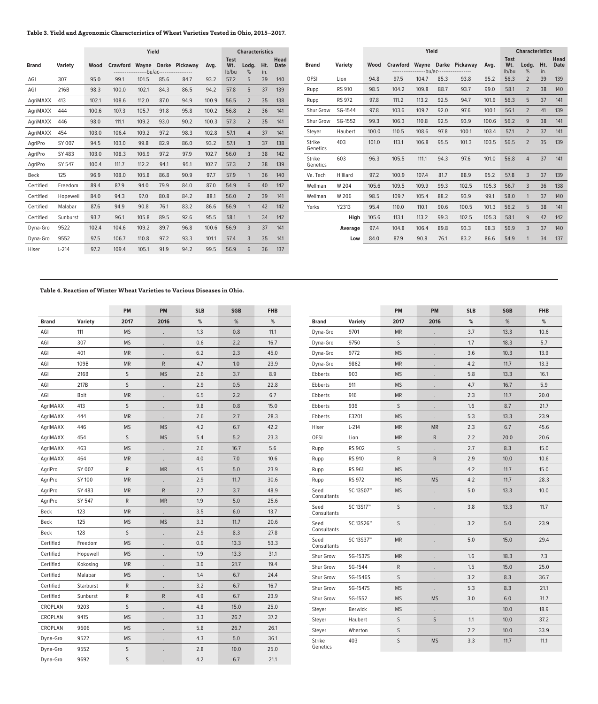## **Table 3. Yield and Agronomic Characteristics of Wheat Varieties Tested in Ohio, 2015–2017.**

|              |                |       |                 | Yield      |      |                      | <b>Characteristics</b> |                             |                |            |                            |
|--------------|----------------|-------|-----------------|------------|------|----------------------|------------------------|-----------------------------|----------------|------------|----------------------------|
| <b>Brand</b> | <b>Variety</b> | Wood  | <b>Crawford</b> | ----bu/ac- |      | Wayne Darke Pickaway | Avg.                   | <b>Test</b><br>Wt.<br>lb/bu | Lodg.<br>%     | Ht.<br>in. | <b>Head</b><br><b>Date</b> |
| AGI          | 307            | 95.0  | 99.1            | 101.5      | 85.6 | 84.7                 | 93.2                   | 57.2                        | 5              | 39         | 140                        |
| AGI          | 216B           | 98.3  | 100.0           | 102.1      | 84.3 | 86.5                 | 94.2                   | 57.8                        | 5              | 37         | 139                        |
| AgriMAXX     | 413            | 102.1 | 108.6           | 112.0      | 87.0 | 94.9                 | 100.9                  | 56.5                        | $\overline{2}$ | 35         | 138                        |
| AgriMAXX     | 444            | 100.6 | 107.3           | 105.7      | 91.8 | 95.8                 | 100.2                  | 56.8                        | $\overline{2}$ | 36         | 141                        |
| AgriMAXX     | 446            | 98.0  | 111.1           | 109.2      | 93.0 | 90.2                 | 100.3                  | 57.3                        | $\overline{2}$ | 35         | 141                        |
| AgriMAXX     | 454            | 103.0 | 106.4           | 109.2      | 97.2 | 98.3                 | 102.8                  | 57.1                        | $\overline{4}$ | 37         | 141                        |
| AgriPro      | SY 007         | 94.5  | 103.0           | 99.8       | 82.9 | 86.0                 | 93.2                   | 57.1                        | 3              | 37         | 138                        |
| AgriPro      | SY 483         | 103.0 | 108.3           | 106.9      | 97.2 | 97.9                 | 102.7                  | 56.0                        | 3              | 38         | 142                        |
| AariPro      | SY 547         | 100.4 | 111.7           | 112.2      | 94.1 | 95.1                 | 102.7                  | 57.3                        | $\overline{2}$ | 38         | 139                        |
| Beck         | 125            | 96.9  | 108.0           | 105.8      | 86.8 | 90.9                 | 97.7                   | 57.9                        | 1              | 36         | 140                        |
| Certified    | Freedom        | 89.4  | 87.9            | 94.0       | 79.9 | 84.0                 | 87.0                   | 54.9                        | 6              | 40         | 142                        |
| Certified    | Hopewell       | 84.0  | 94.3            | 97.0       | 80.8 | 84.2                 | 88.1                   | 56.0                        | $\overline{2}$ | 39         | 141                        |
| Certified    | Malabar        | 87.6  | 94.9            | 90.8       | 76.1 | 83.2                 | 86.6                   | 56.9                        | 1              | 42         | 142                        |
| Certified    | Sunburst       | 93.7  | 96.1            | 105.8      | 89.5 | 92.6                 | 95.5                   | 58.1                        | $\mathbf{1}$   | 34         | 142                        |
| Dyna-Gro     | 9522           | 102.4 | 104.6           | 109.2      | 89.7 | 96.8                 | 100.6                  | 56.9                        | 3              | 37         | 141                        |
| Dyna-Gro     | 9552           | 97.5  | 106.7           | 110.8      | 97.2 | 93.3                 | 101.1                  | 57.4                        | 3              | 35         | 141                        |
| Hiser        | $L-214$        | 97.2  | 109.4           | 105.1      | 91.9 | 94.2                 | 99.5                   | 56.9                        | 6              | 36         | 137                        |

|                           |                | Yield |                 |            |      |                      |       |                             | <b>Characteristics</b> |            |                            |  |
|---------------------------|----------------|-------|-----------------|------------|------|----------------------|-------|-----------------------------|------------------------|------------|----------------------------|--|
| <b>Brand</b>              | <b>Variety</b> | Wood  | <b>Crawford</b> | ----bu/ac- |      | Wayne Darke Pickaway | Avg.  | <b>Test</b><br>Wt.<br>lb/bu | Lodg.<br>%             | Ht.<br>in. | <b>Head</b><br><b>Date</b> |  |
| <b>OFSI</b>               | Lion           | 94.8  | 97.5            | 104.7      | 85.3 | 93.8                 | 95.2  | 56.3                        | $\overline{2}$         | 39         | 139                        |  |
| Rupp                      | <b>RS 910</b>  | 98.5  | 104.2           | 109.8      | 88.7 | 93.7                 | 99.0  | 58.1                        | $\overline{2}$         | 38         | 140                        |  |
| Rupp                      | <b>RS 972</b>  | 97.8  | 111.2           | 113.2      | 92.5 | 94.7                 | 101.9 | 56.3                        | 5                      | 37         | 141                        |  |
| <b>Shur Grow</b>          | SG-1544        | 97.8  | 103.6           | 109.7      | 92.0 | 97.6                 | 100.1 | 56.1                        | $\overline{2}$         | 41         | 139                        |  |
| <b>Shur Grow</b>          | SG-1552        | 99.3  | 106.3           | 110.8      | 92.5 | 93.9                 | 100.6 | 56.2                        | 9                      | 38         | 141                        |  |
| Stever                    | Haubert        | 100.0 | 110.5           | 108.6      | 97.8 | 100.1                | 103.4 | 57.1                        | $\overline{2}$         | 37         | 141                        |  |
| <b>Strike</b><br>Genetics | 403            | 101.0 | 113.1           | 106.8      | 95.5 | 101.3                | 103.5 | 56.5                        | $\overline{2}$         | 35         | 139                        |  |
| <b>Strike</b><br>Genetics | 603            | 96.3  | 105.5           | 111.1      | 94.3 | 97.6                 | 101.0 | 56.8                        | $\overline{4}$         | 37         | 141                        |  |
| Va. Tech                  | Hilliard       | 97.2  | 100.9           | 107.4      | 81.7 | 88.9                 | 95.2  | 57.8                        | 3                      | 37         | 139                        |  |
| Wellman                   | W 204          | 105.6 | 109.5           | 109.9      | 99.3 | 102.5                | 105.3 | 56.7                        | 3                      | 36         | 138                        |  |
| Wellman                   | W 206          | 98.5  | 109.7           | 105.4      | 88.2 | 93.9                 | 99.1  | 58.0                        | $\mathbf{1}$           | 37         | 140                        |  |
| Yerks                     | Y2313          | 95.4  | 110.0           | 110.1      | 90.6 | 100.5                | 101.3 | 56.2                        | 5                      | 38         | 141                        |  |
|                           | High           | 105.6 | 113.1           | 113.2      | 99.3 | 102.5                | 105.3 | 58.1                        | 9                      | 42         | 142                        |  |
|                           | Average        | 97.4  | 104.8           | 106.4      | 89.8 | 93.3                 | 98.3  | 56.9                        | 3                      | 37         | 140                        |  |
|                           | Low            | 84.0  | 87.9            | 90.8       | 76.1 | 83.2                 | 86.6  | 54.9                        | $\mathbf{1}$           | 34         | 137                        |  |

## **Table 4. Reaction of Winter Wheat Varieties to Various Diseases in Ohio.**

|              |                | PM          | PM                   | <b>SLB</b> | <b>SGB</b> | <b>FHB</b> |
|--------------|----------------|-------------|----------------------|------------|------------|------------|
| <b>Brand</b> | <b>Variety</b> | 2017        | 2016                 | %          | %          | %          |
| AGI          | 111            | <b>MS</b>   |                      | 1.3        | 0.8        | 11.1       |
| AGI          | 307            | <b>MS</b>   |                      | 0.6        | 2.2        | 16.7       |
| AGI          | 401            | <b>MR</b>   |                      | 6.2        | 2.3        | 45.0       |
| AGI          | 109B           | <b>MR</b>   | R                    | 4.7        | 1.0        | 23.9       |
| AGI          | 216B           | S           | <b>MS</b>            | 2.6        | 3.7        | 8.9        |
| AGI          | 217B           | S           |                      | 2.9        | 0.5        | 22.8       |
| AGI          | Bolt           | <b>MR</b>   |                      | 6.5        | 2.2        | 6.7        |
| AgriMAXX     | 413            | S           |                      | 9.8        | 0.8        | 15.0       |
| AgriMAXX     | 444            | <b>MR</b>   |                      | 2.6        | 2.7        | 28.3       |
| AgriMAXX     | 446            | <b>MS</b>   | <b>MS</b>            | 4.2        | 6.7        | 42.2       |
| AgriMAXX     | 454            | S           | <b>MS</b>            | 5.4        | 5.2        | 23.3       |
| AgriMAXX     | 463            | <b>MS</b>   |                      | 2.6        | 16.7       | 5.6        |
| AgriMAXX     | 464            | <b>MR</b>   |                      | 4.0        | 7.0        | 10.6       |
| AgriPro      | SY 007         | $\mathsf R$ | <b>MR</b>            | 4.5        | 5.0        | 23.9       |
| AgriPro      | SY 100         | <b>MR</b>   | $\ddot{\phantom{0}}$ | 2.9        | 11.7       | 30.6       |
| AgriPro      | SY 483         | <b>MR</b>   | ${\sf R}$            | 2.7        | 3.7        | 48.9       |
| AgriPro      | SY 547         | R           | <b>MR</b>            | 1.9        | 5.0        | 25.6       |
| Beck         | 123            | <b>MR</b>   |                      | 3.5        | 6.0        | 13.7       |
| Beck         | 125            | <b>MS</b>   | <b>MS</b>            | 3.3        | 11.7       | 20.6       |
| Beck         | 128            | S           |                      | 2.9        | 8.3        | 27.8       |
| Certified    | Freedom        | <b>MS</b>   |                      | 0.9        | 13.3       | 53.3       |
| Certified    | Hopewell       | <b>MS</b>   |                      | 1.9        | 13.3       | 31.1       |
| Certified    | Kokosing       | <b>MR</b>   |                      | 3.6        | 21.7       | 19.4       |
| Certified    | Malabar        | <b>MS</b>   |                      | 1.4        | 6.7        | 24.4       |
| Certified    | Starburst      | R           |                      | 3.2        | 6.7        | 16.7       |
| Certified    | Sunburst       | R           | R                    | 4.9        | 6.7        | 23.9       |
| CROPLAN      | 9203           | S           |                      | 4.8        | 15.0       | 25.0       |
| CROPLAN      | 9415           | <b>MS</b>   |                      | 3.3        | 26.7       | 37.2       |
| CROPLAN      | 9606           | <b>MS</b>   |                      | 5.8        | 26.7       | 26.1       |
| Dyna-Gro     | 9522           | <b>MS</b>   |                      | 4.3        | 5.0        | 36.1       |
| Dyna-Gro     | 9552           | S           |                      | 2.8        | 10.0       | 25.0       |
| Dyna-Gro     | 9692           | S           |                      | 4.2        | 6.7        | 21.1       |

|                           |                | <b>PM</b> | <b>PM</b>            | <b>SLB</b> | <b>SGB</b> | <b>FHB</b> |
|---------------------------|----------------|-----------|----------------------|------------|------------|------------|
| <b>Brand</b>              | <b>Variety</b> | 2017      | 2016                 | %          | %          | %          |
| Dyna-Gro                  | 9701           | <b>MR</b> |                      | 3.7        | 13.3       | 10.6       |
| Dyna-Gro                  | 9750           | S         |                      | 1.7        | 18.3       | 5.7        |
| Dyna-Gro                  | 9772           | <b>MS</b> |                      | 3.6        | 10.3       | 13.9       |
| Dyna-Gro                  | 9862           | <b>MR</b> |                      | 4.2        | 11.7       | 13.3       |
| Ebberts                   | 903            | <b>MS</b> |                      | 5.8        | 13.3       | 16.1       |
| Ebberts                   | 911            | <b>MS</b> |                      | 4.7        | 16.7       | 5.9        |
| Ebberts                   | 916            | <b>MR</b> |                      | 2.3        | 11.7       | 20.0       |
| Ebberts                   | 936            | S         |                      | 1.6        | 8.7        | 21.7       |
| Ebberts                   | E3201          | <b>MS</b> |                      | 5.3        | 13.3       | 23.9       |
| Hiser                     | $L-214$        | <b>MR</b> | <b>MR</b>            | 2.3        | 6.7        | 45.6       |
| <b>OFSI</b>               | Lion           | <b>MR</b> | ${\sf R}$            | 2.2        | 20.0       | 20.6       |
| Rupp                      | <b>RS 902</b>  | S         |                      | 2.7        | 8.3        | 15.0       |
| Rupp                      | <b>RS 910</b>  | R         | R                    | 2.9        | 10.0       | 10.6       |
| Rupp                      | RS 961         | <b>MS</b> | $\ddot{\phantom{0}}$ | 4.2        | 11.7       | 15.0       |
| Rupp                      | RS 972         | <b>MS</b> | <b>MS</b>            | 4.2        | 11.7       | 28.3       |
| Seed<br>Consultants       | SC 13S07™      | <b>MS</b> |                      | 5.0        | 13.3       | 10.0       |
| Seed<br>Consultants       | SC 13S17™      | S         |                      | 3.8        | 13.3       | 11.7       |
| Seed<br>Consultants       | SC 13S26™      | S         |                      | 3.2        | 5.0        | 23.9       |
| Seed<br>Consultants       | SC 13S37™      | <b>MR</b> |                      | 5.0        | 15.0       | 29.4       |
| Shur Grow                 | SG-1537S       | <b>MR</b> |                      | 1.6        | 18.3       | 7.3        |
| Shur Grow                 | SG-1544        | R         | $\ddot{\phantom{0}}$ | 1.5        | 15.0       | 25.0       |
| Shur Grow                 | SG-1546S       | S         | $\cdot$              | 3.2        | 8.3        | 36.7       |
| Shur Grow                 | SG-1547S       | <b>MS</b> |                      | 5.3        | 8.3        | 21.1       |
| Shur Grow                 | SG-1552        | <b>MS</b> | <b>MS</b>            | 3.0        | 6.0        | 31.7       |
| Steyer                    | <b>Berwick</b> | <b>MS</b> |                      |            | 10.0       | 18.9       |
| Steyer                    | Haubert        | S         | S                    | 1.1        | 10.0       | 37.2       |
| Steyer                    | Wharton        | S         |                      | 2.2        | 10.0       | 33.9       |
| <b>Strike</b><br>Genetics | 403            | S         | <b>MS</b>            | 3.3        | 11.7       | 11.1       |